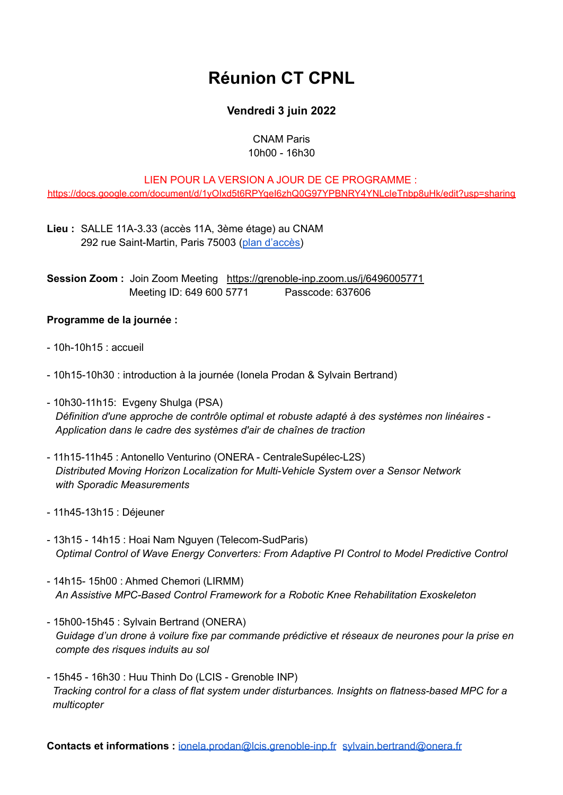# **Réunion CT CPNL**

# **Vendredi 3 juin 2022**

### CNAM Paris 10h00 - 16h30

# LIEN POUR LA VERSION A JOUR DE CE PROGRAMME :

<https://docs.google.com/document/d/1yOIxd5t6RPYqeI6zhQ0G97YPBNRY4YNLcIeTnbp8uHk/edit?usp=sharing>

**Lieu :** SALLE 11A-3.33 (accès 11A, 3ème étage) au CNAM 292 rue Saint-Martin, Paris 75003 (plan [d'accès\)](https://www.cnam-paris.fr/medias/fichier/plan-st-martin-conte_1647434497281-pdf?INLINE=FALSE)

**Session Zoom: Join Zoom Meeting <https://grenoble-inp.zoom.us/j/6496005771>** Meeting ID: 649 600 5771 Passcode: 637606

## **Programme de la journée :**

- $-10h-10h15$   $\cdot$  accueil
- 10h15-10h30 : introduction à la journée (Ionela Prodan & Sylvain Bertrand)
- 10h30-11h15: Evgeny Shulga (PSA) *Définition d'une approche de contrôle optimal et robuste adapté à des systèmes non linéaires - Application dans le cadre des systèmes d'air de chaînes de traction*
- 11h15-11h45 : Antonello Venturino (ONERA CentraleSupélec-L2S) *Distributed Moving Horizon Localization for Multi-Vehicle System over a Sensor Network with Sporadic Measurements*
- 11h45-13h15 : Déjeuner
- 13h15 14h15 : Hoai Nam Nguyen (Telecom-SudParis) *Optimal Control of Wave Energy Converters: From Adaptive PI Control to Model Predictive Control*
- 14h15- 15h00 : Ahmed Chemori (LIRMM) *An Assistive MPC-Based Control Framework for a Robotic Knee Rehabilitation Exoskeleton*
- 15h00-15h45 : Sylvain Bertrand (ONERA) *Guidage d'un drone à voilure fixe par commande prédictive et réseaux de neurones pour la prise en compte des risques induits au sol*
- 15h45 16h30 : Huu Thinh Do (LCIS Grenoble INP) *Tracking control for a class of flat system under disturbances. Insights on flatness-based MPC for a multicopter*

**Contacts et informations :** [ionela.prodan@lcis.grenoble-inp.fr](mailto:ionela.prodan@lcis.grenoble-inp.fr) [sylvain.bertrand@onera.fr](mailto:sylvain.bertrand@onera.fr)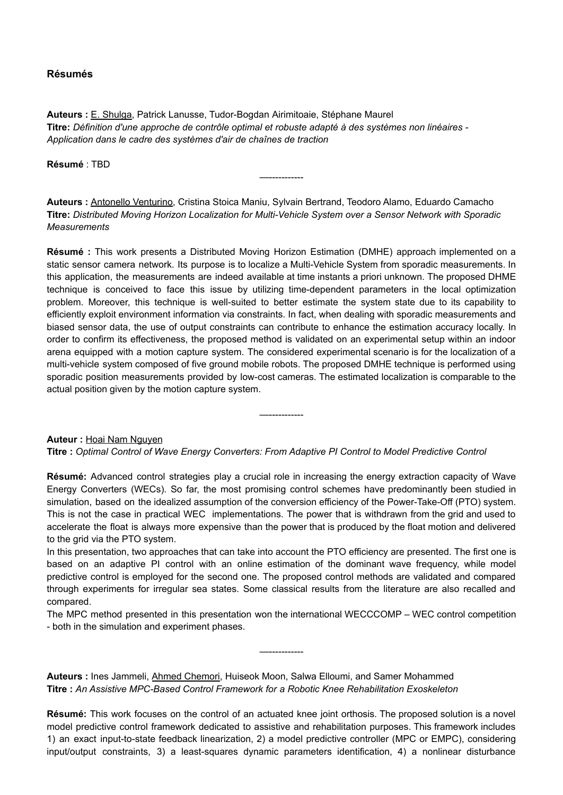#### **Résumés**

**Auteurs :** E. Shulga, Patrick Lanusse, Tudor-Bogdan Airimitoaie, Stéphane Maurel **Titre:** *Définition d'une approche de contrôle optimal et robuste adapté à des systèmes non linéaires - Application dans le cadre des systèmes d'air de chaînes de traction*

**Résumé** : TBD

**Auteurs :** Antonello Venturino, Cristina Stoica Maniu, Sylvain Bertrand, Teodoro Alamo, Eduardo Camacho **Titre:** *Distributed Moving Horizon Localization for Multi-Vehicle System over a Sensor Network with Sporadic Measurements*

—-----------

**Résumé :** This work presents a Distributed Moving Horizon Estimation (DMHE) approach implemented on a static sensor camera network. Its purpose is to localize a Multi-Vehicle System from sporadic measurements. In this application, the measurements are indeed available at time instants a priori unknown. The proposed DHME technique is conceived to face this issue by utilizing time-dependent parameters in the local optimization problem. Moreover, this technique is well-suited to better estimate the system state due to its capability to efficiently exploit environment information via constraints. In fact, when dealing with sporadic measurements and biased sensor data, the use of output constraints can contribute to enhance the estimation accuracy locally. In order to confirm its effectiveness, the proposed method is validated on an experimental setup within an indoor arena equipped with a motion capture system. The considered experimental scenario is for the localization of a multi-vehicle system composed of five ground mobile robots. The proposed DMHE technique is performed using sporadic position measurements provided by low-cost cameras. The estimated localization is comparable to the actual position given by the motion capture system.

—-----------

**Auteur :** Hoai Nam Nguyen

**Titre :** *Optimal Control of Wave Energy Converters: From Adaptive PI Control to Model Predictive Control*

**Résumé:** Advanced control strategies play a crucial role in increasing the energy extraction capacity of Wave Energy Converters (WECs). So far, the most promising control schemes have predominantly been studied in simulation, based on the idealized assumption of the conversion efficiency of the Power-Take-Off (PTO) system. This is not the case in practical WEC implementations. The power that is withdrawn from the grid and used to accelerate the float is always more expensive than the power that is produced by the float motion and delivered to the grid via the PTO system.

In this presentation, two approaches that can take into account the PTO efficiency are presented. The first one is based on an adaptive PI control with an online estimation of the dominant wave frequency, while model predictive control is employed for the second one. The proposed control methods are validated and compared through experiments for irregular sea states. Some classical results from the literature are also recalled and compared.

The MPC method presented in this presentation won the international WECCCOMP – WEC control competition - both in the simulation and experiment phases.

—-----------

**Auteurs :** Ines Jammeli, Ahmed Chemori, Huiseok Moon, Salwa Elloumi, and Samer Mohammed **Titre :** *An Assistive MPC-Based Control Framework for a Robotic Knee Rehabilitation Exoskeleton*

**Résumé:** This work focuses on the control of an actuated knee joint orthosis. The proposed solution is a novel model predictive control framework dedicated to assistive and rehabilitation purposes. This framework includes 1) an exact input-to-state feedback linearization, 2) a model predictive controller (MPC or EMPC), considering input/output constraints, 3) a least-squares dynamic parameters identification, 4) a nonlinear disturbance